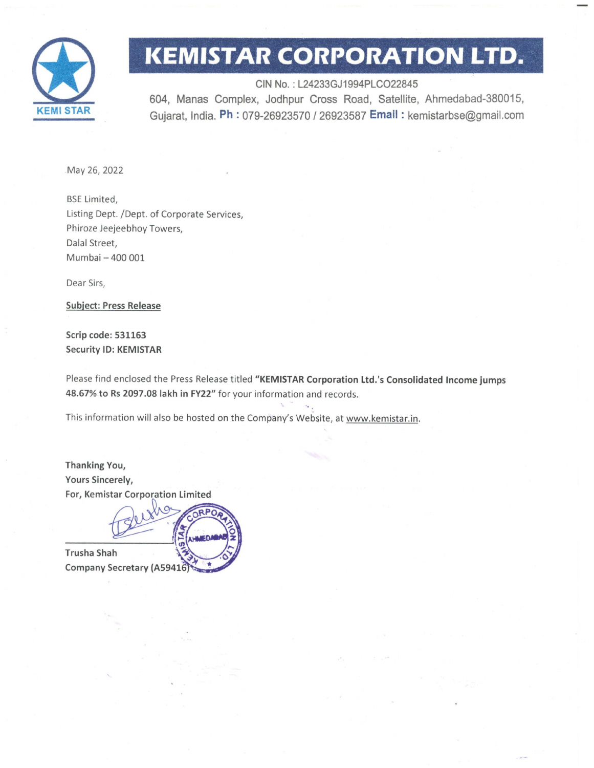

## **l<EMISTAR CORPORATION LTD.**

CIN No. : L24233GJ1994PLC022845 604, Manas Complex, Jodhpur Cross Road, Satellite, Ahmedabad-380015, Gujarat, India. Ph: 079-26923570 / 26923587 Email: kemistarbse@gmail.com

May 26, 2022

BSE Limited, Listing Dept. /Dept. of Corporate Services, Phiroze Jeejeebhoy Towers, Dalal Street, Mumbai - 400 001

Dear Sirs,

Subject: Press Release

Scrip code: 531163 Security ID: KEMISTAR

Please find enclosed the Press Release titled "KEMISTAR Corporation Ltd.'s Consolidated Income jumps 48.67% to Rs 2097 .08 lakh in FY22" for your information and records.

This information will also be hosted on the Company's Website, at www.kemistar.in.

Thanking You, Yours Sincerely, For, Kemistar Corporation Limited

**Trusha Shah** Company Secretary (A59416)